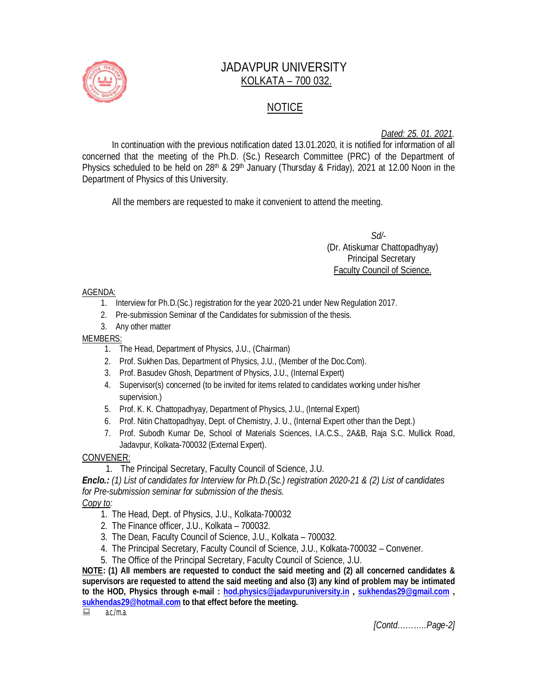

# JADAVPUR UNIVERSITY KOLKATA – 700 032.

## NOTICE

*Dated: 25. 01. 2021.*

In continuation with the previous notification dated 13.01.2020, it is notified for information of all concerned that the meeting of the Ph.D. (Sc.) Research Committee (PRC) of the Department of Physics scheduled to be held on 28<sup>th</sup> & 29<sup>th</sup> January (Thursday & Friday), 2021 at 12.00 Noon in the Department of Physics of this University.

All the members are requested to make it convenient to attend the meeting.

 *Sd/-*  (Dr. Atiskumar Chattopadhyay) Principal Secretary Faculty Council of Science.

#### AGENDA:

- 1. Interview for Ph.D.(Sc.) registration for the year 2020-21 under New Regulation 2017.
- 2. Pre-submission Seminar of the Candidates for submission of the thesis.
- 3. Any other matter

#### MEMBERS:

- 1. The Head, Department of Physics, J.U., (Chairman)
- 2. Prof. Sukhen Das, Department of Physics, J.U., (Member of the Doc.Com).
- 3. Prof. Basudev Ghosh, Department of Physics, J.U., (Internal Expert)
- 4. Supervisor(s) concerned (to be invited for items related to candidates working under his/her supervision.)
- 5. Prof. K. K. Chattopadhyay, Department of Physics, J.U., (Internal Expert)
- 6. Prof. Nitin Chattopadhyay, Dept. of Chemistry, J. U., (Internal Expert other than the Dept.)
- 7. Prof. Subodh Kumar De, School of Materials Sciences, I.A.C.S., 2A&B, Raja S.C. Mullick Road, Jadavpur, Kolkata-700032 (External Expert).

### CONVENER:

1. The Principal Secretary, Faculty Council of Science, J.U.

*Enclo.: (1) List of candidates for Interview for Ph.D.(Sc.) registration 2020-21 & (2) List of candidates for Pre-submission seminar for submission of the thesis.*

### *Copy to:*

- 1. The Head, Dept. of Physics, J.U., Kolkata-700032
- 2. The Finance officer, J.U., Kolkata 700032.
- 3. The Dean, Faculty Council of Science, J.U., Kolkata 700032.
- 4. The Principal Secretary, Faculty Council of Science, J.U., Kolkata-700032 Convener.
- 5. The Office of the Principal Secretary, Faculty Council of Science, J.U.

**NOTE: (1) All members are requested to conduct the said meeting and (2) all concerned candidates & supervisors are requested to attend the said meeting and also (3) any kind of problem may be intimated to the HOD, Physics through e-mail : hod.physics@jadavpuruniversity.in , sukhendas29@gmail.com , sukhendas29@hotmail.com to that effect before the meeting.**

 $a.c./m.a.$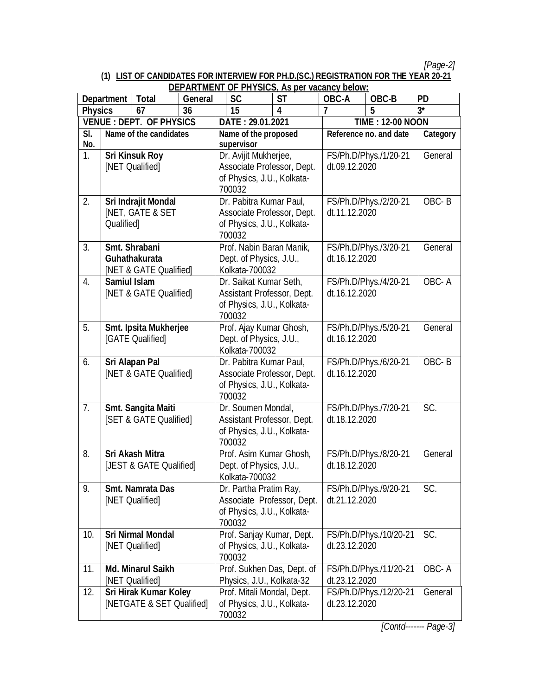*[Page-2]*

# **(1) LIST OF CANDIDATES FOR INTERVIEW FOR PH.D.(SC.) REGISTRATION FOR THE YEAR 20-21**

| <b>DEPARTMENT OF PHYSICS, As per vacancy below:</b> |                                             |                             |                            |                                                         |                                          |                                         |                        |          |
|-----------------------------------------------------|---------------------------------------------|-----------------------------|----------------------------|---------------------------------------------------------|------------------------------------------|-----------------------------------------|------------------------|----------|
| <b>Total</b><br><b>Department</b>                   |                                             | <b>General</b>              | <b>SC</b>                  | <b>ST</b>                                               | OBC-A                                    | OBC-B                                   | <b>PD</b>              |          |
| <b>Physics</b><br>67<br>36                          |                                             |                             | 15                         | 4                                                       | 7                                        | 5                                       | $3^*$                  |          |
| <b>VENUE : DEPT. OF PHYSICS</b>                     |                                             |                             | DATE: 29.01.2021           |                                                         |                                          | <b>TIME: 12-00 NOON</b>                 |                        |          |
| SI.<br>Name of the candidates                       |                                             |                             |                            | Name of the proposed<br>supervisor                      |                                          | Reference no. and date                  |                        | Category |
| No.<br>1.                                           |                                             |                             |                            | Dr. Avijit Mukherjee,                                   |                                          |                                         |                        | General  |
|                                                     | <b>Sri Kinsuk Roy</b>                       |                             |                            | Associate Professor, Dept.                              |                                          | dt.09.12.2020                           | FS/Ph.D/Phys./1/20-21  |          |
| [NET Qualified]                                     |                                             |                             | of Physics, J.U., Kolkata- |                                                         |                                          |                                         |                        |          |
|                                                     |                                             |                             |                            | 700032                                                  |                                          |                                         |                        |          |
| 2.                                                  |                                             | Sri Indrajit Mondal         |                            | Dr. Pabitra Kumar Paul,                                 |                                          |                                         | FS/Ph.D/Phys./2/20-21  | OBC-B    |
|                                                     |                                             | <b>INET, GATE &amp; SET</b> |                            | Associate Professor, Dept.                              |                                          | dt.11.12.2020                           |                        |          |
|                                                     | Qualified]                                  |                             |                            | of Physics, J.U., Kolkata-                              |                                          |                                         |                        |          |
|                                                     |                                             |                             |                            | 700032                                                  |                                          |                                         |                        |          |
| 3.                                                  | Smt. Shrabani                               |                             |                            | Prof. Nabin Baran Manik,                                |                                          |                                         | FS/Ph.D/Phys./3/20-21  | General  |
|                                                     |                                             | Guhathakurata               |                            | Dept. of Physics, J.U.,                                 |                                          | dt.16.12.2020                           |                        |          |
|                                                     |                                             | [NET & GATE Qualified]      |                            | Kolkata-700032                                          |                                          |                                         |                        |          |
| 4.                                                  | <b>Samiul Islam</b>                         |                             |                            | Dr. Saikat Kumar Seth,                                  |                                          |                                         | FS/Ph.D/Phys./4/20-21  | OBC-A    |
|                                                     |                                             | [NET & GATE Qualified]      |                            | Assistant Professor, Dept.                              |                                          | dt.16.12.2020                           |                        |          |
|                                                     |                                             |                             |                            | of Physics, J.U., Kolkata-                              |                                          |                                         |                        |          |
|                                                     |                                             |                             |                            | 700032                                                  |                                          |                                         |                        |          |
| 5.                                                  |                                             | Smt. Ipsita Mukherjee       |                            | Prof. Ajay Kumar Ghosh,                                 |                                          | FS/Ph.D/Phys./5/20-21                   |                        | General  |
|                                                     |                                             | [GATE Qualified]            |                            | Dept. of Physics, J.U.,                                 |                                          | dt.16.12.2020                           |                        |          |
|                                                     |                                             |                             |                            | Kolkata-700032                                          |                                          |                                         |                        |          |
| 6.                                                  | <b>Sri Alapan Pal</b>                       |                             |                            | Dr. Pabitra Kumar Paul,                                 |                                          | FS/Ph.D/Phys./6/20-21                   |                        | OBC-B    |
|                                                     |                                             | [NET & GATE Qualified]      |                            | Associate Professor, Dept.                              |                                          | dt.16.12.2020                           |                        |          |
|                                                     |                                             |                             |                            | of Physics, J.U., Kolkata-<br>700032                    |                                          |                                         |                        |          |
| 7.                                                  |                                             | Smt. Sangita Maiti          |                            | Dr. Soumen Mondal,                                      |                                          |                                         | FS/Ph.D/Phys./7/20-21  | SC.      |
|                                                     |                                             | [SET & GATE Qualified]      |                            | Assistant Professor, Dept.                              |                                          | dt.18.12.2020                           |                        |          |
|                                                     |                                             |                             |                            | of Physics, J.U., Kolkata-                              |                                          |                                         |                        |          |
|                                                     |                                             |                             |                            | 700032                                                  |                                          |                                         |                        |          |
| 8.                                                  |                                             | <b>Sri Akash Mitra</b>      |                            | Prof. Asim Kumar Ghosh,                                 |                                          |                                         | FS/Ph.D/Phys./8/20-21  | General  |
|                                                     |                                             | [JEST & GATE Qualified]     |                            |                                                         | Dept. of Physics, J.U.,<br>dt.18.12.2020 |                                         |                        |          |
|                                                     |                                             |                             |                            | Kolkata-700032                                          |                                          |                                         |                        |          |
| 9.                                                  |                                             | <b>Smt. Namrata Das</b>     |                            | Dr. Partha Pratim Ray,                                  |                                          | FS/Ph.D/Phys./9/20-21                   |                        | SC.      |
|                                                     |                                             | [NET Qualified]             |                            | Associate Professor, Dept.                              |                                          | dt.21.12.2020                           |                        |          |
|                                                     |                                             |                             |                            | of Physics, J.U., Kolkata-                              |                                          |                                         |                        |          |
|                                                     |                                             |                             |                            | 700032                                                  |                                          |                                         |                        |          |
| 10.                                                 | <b>Sri Nirmal Mondal</b>                    |                             |                            | Prof. Sanjay Kumar, Dept.                               |                                          | FS/Ph.D/Phys./10/20-21                  |                        | SC.      |
|                                                     | [NET Qualified]                             |                             |                            | of Physics, J.U., Kolkata-                              |                                          | dt.23.12.2020                           |                        |          |
| 11.                                                 |                                             |                             |                            | 700032<br>Prof. Sukhen Das, Dept. of                    |                                          |                                         | FS/Ph.D/Phys./11/20-21 | OBC-A    |
|                                                     | <b>Md. Minarul Saikh</b><br>[NET Qualified] |                             |                            |                                                         |                                          | dt.23.12.2020                           |                        |          |
| 12.                                                 |                                             | Sri Hirak Kumar Koley       |                            | Physics, J.U., Kolkata-32<br>Prof. Mitali Mondal, Dept. |                                          |                                         |                        | General  |
|                                                     |                                             | [NETGATE & SET Qualified]   |                            |                                                         |                                          | FS/Ph.D/Phys./12/20-21<br>dt.23.12.2020 |                        |          |
|                                                     |                                             |                             |                            | of Physics, J.U., Kolkata-<br>700032                    |                                          |                                         |                        |          |

*[Contd------- Page-3]*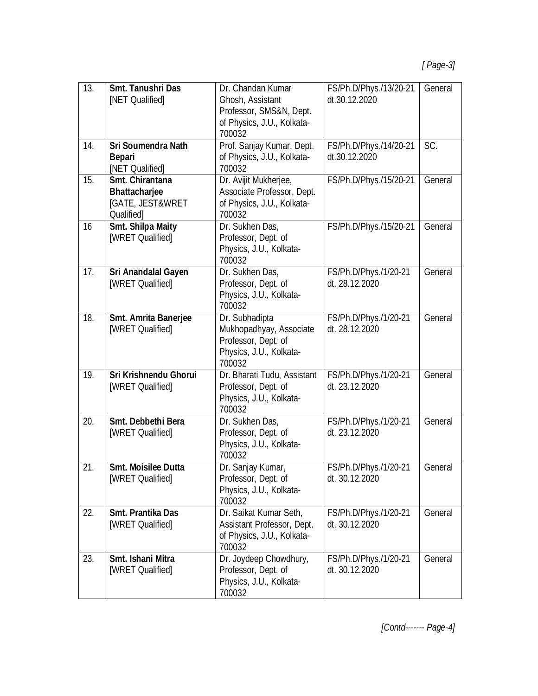| 13. | <b>Smt. Tanushri Das</b><br>[NET Qualified]                               | Dr. Chandan Kumar<br>Ghosh, Assistant<br>Professor, SMS&N, Dept.<br>of Physics, J.U., Kolkata-<br>700032 | FS/Ph.D/Phys./13/20-21<br>dt.30.12.2020 | General |
|-----|---------------------------------------------------------------------------|----------------------------------------------------------------------------------------------------------|-----------------------------------------|---------|
| 14. | <b>Sri Soumendra Nath</b><br><b>Bepari</b><br>[NET Qualified]             | Prof. Sanjay Kumar, Dept.<br>of Physics, J.U., Kolkata-<br>700032                                        | FS/Ph.D/Phys./14/20-21<br>dt.30.12.2020 | SC.     |
| 15. | Smt. Chirantana<br><b>Bhattacharjee</b><br>[GATE, JEST&WRET<br>Qualified] | Dr. Avijit Mukherjee,<br>Associate Professor, Dept.<br>of Physics, J.U., Kolkata-<br>700032              | FS/Ph.D/Phys./15/20-21                  | General |
| 16  | <b>Smt. Shilpa Maity</b><br>[WRET Qualified]                              | Dr. Sukhen Das,<br>Professor, Dept. of<br>Physics, J.U., Kolkata-<br>700032                              | FS/Ph.D/Phys./15/20-21                  | General |
| 17. | Sri Anandalal Gayen<br>[WRET Qualified]                                   | Dr. Sukhen Das,<br>Professor, Dept. of<br>Physics, J.U., Kolkata-<br>700032                              | FS/Ph.D/Phys./1/20-21<br>dt. 28.12.2020 | General |
| 18. | Smt. Amrita Banerjee<br>[WRET Qualified]                                  | Dr. Subhadipta<br>Mukhopadhyay, Associate<br>Professor, Dept. of<br>Physics, J.U., Kolkata-<br>700032    | FS/Ph.D/Phys./1/20-21<br>dt. 28.12.2020 | General |
| 19. | <b>Sri Krishnendu Ghorui</b><br>[WRET Qualified]                          | Dr. Bharati Tudu, Assistant<br>Professor, Dept. of<br>Physics, J.U., Kolkata-<br>700032                  | FS/Ph.D/Phys./1/20-21<br>dt. 23.12.2020 | General |
| 20. | Smt. Debbethi Bera<br>[WRET Qualified]                                    | Dr. Sukhen Das,<br>Professor, Dept. of<br>Physics, J.U., Kolkata-<br>700032                              | FS/Ph.D/Phys./1/20-21<br>dt. 23.12.2020 | General |
| 21. | <b>Smt. Moisilee Dutta</b><br>[WRET Qualified]                            | Dr. Sanjay Kumar,<br>Professor, Dept. of<br>Physics, J.U., Kolkata-<br>700032                            | FS/Ph.D/Phys./1/20-21<br>dt. 30.12.2020 | General |
| 22. | <b>Smt. Prantika Das</b><br>[WRET Qualified]                              | Dr. Saikat Kumar Seth,<br>Assistant Professor, Dept.<br>of Physics, J.U., Kolkata-<br>700032             | FS/Ph.D/Phys./1/20-21<br>dt. 30.12.2020 | General |
| 23. | Smt. Ishani Mitra<br>[WRET Qualified]                                     | Dr. Joydeep Chowdhury,<br>Professor, Dept. of<br>Physics, J.U., Kolkata-<br>700032                       | FS/Ph.D/Phys./1/20-21<br>dt. 30.12.2020 | General |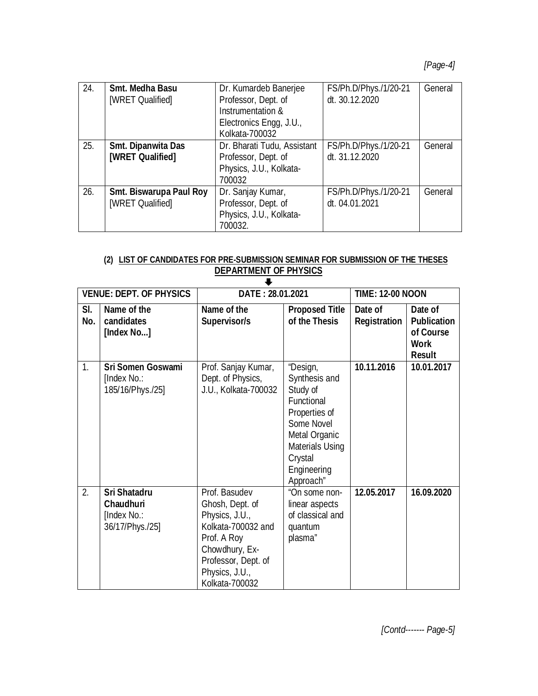## *[Page-4]*

| 24. | <b>Smt. Medha Basu</b>         | Dr. Kumardeb Banerjee       | FS/Ph.D/Phys./1/20-21 | General |
|-----|--------------------------------|-----------------------------|-----------------------|---------|
|     | [WRET Qualified]               | Professor, Dept. of         | dt. 30.12.2020        |         |
|     |                                | Instrumentation &           |                       |         |
|     |                                | Electronics Engg, J.U.,     |                       |         |
|     |                                | Kolkata-700032              |                       |         |
| 25. | Smt. Dipanwita Das             | Dr. Bharati Tudu, Assistant | FS/Ph.D/Phys./1/20-21 | General |
|     | [WRET Qualified]               | Professor, Dept. of         | dt. 31.12.2020        |         |
|     |                                | Physics, J.U., Kolkata-     |                       |         |
|     |                                | 700032                      |                       |         |
| 26. | <b>Smt. Biswarupa Paul Roy</b> | Dr. Sanjay Kumar,           | FS/Ph.D/Phys./1/20-21 | General |
|     | [WRET Qualified]               | Professor, Dept. of         | dt. 04.01.2021        |         |
|     |                                | Physics, J.U., Kolkata-     |                       |         |
|     |                                | 700032.                     |                       |         |

#### **(2) LIST OF CANDIDATES FOR PRE-SUBMISSION SEMINAR FOR SUBMISSION OF THE THESES DEPARTMENT OF PHYSICS**

|            | <b>VENUE: DEPT. OF PHYSICS</b>                                     | DATE: 28.01.2021                                                                                                                                                     |                                                                                                                                                               | <b>TIME: 12-00 NOON</b>        |                                                                            |  |  |  |
|------------|--------------------------------------------------------------------|----------------------------------------------------------------------------------------------------------------------------------------------------------------------|---------------------------------------------------------------------------------------------------------------------------------------------------------------|--------------------------------|----------------------------------------------------------------------------|--|--|--|
| SI.<br>No. | Name of the<br>candidates<br>[Index No]                            | Name of the<br>Supervisor/s                                                                                                                                          | <b>Proposed Title</b><br>of the Thesis                                                                                                                        | Date of<br><b>Registration</b> | Date of<br><b>Publication</b><br>of Course<br><b>Work</b><br><b>Result</b> |  |  |  |
| 1.         | <b>Sri Somen Goswami</b><br>[Index No.:<br>185/16/Phys./25]        | Prof. Sanjay Kumar,<br>Dept. of Physics,<br>J.U., Kolkata-700032                                                                                                     | "Design,<br>Synthesis and<br>Study of<br>Functional<br>Properties of<br>Some Novel<br>Metal Organic<br>Materials Using<br>Crystal<br>Engineering<br>Approach" | 10.11.2016                     | 10.01.2017                                                                 |  |  |  |
| 2.         | <b>Sri Shatadru</b><br>Chaudhuri<br>[Index No.:<br>36/17/Phys./25] | Prof. Basudev<br>Ghosh, Dept. of<br>Physics, J.U.,<br>Kolkata-700032 and<br>Prof. A Roy<br>Chowdhury, Ex-<br>Professor, Dept. of<br>Physics, J.U.,<br>Kolkata-700032 | "On some non-<br>linear aspects<br>of classical and<br>quantum<br>plasma"                                                                                     | 12.05.2017                     | 16.09.2020                                                                 |  |  |  |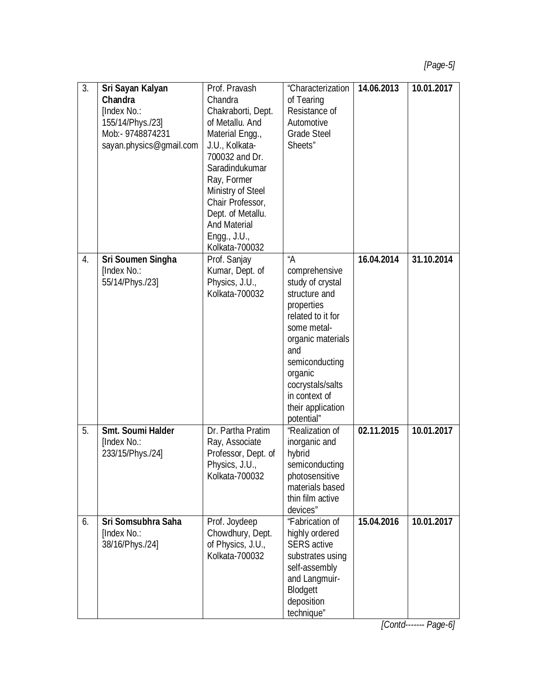| $\overline{3}$ . | Sri Sayan Kalyan         | Prof. Pravash       | "Characterization  | 14.06.2013 | 10.01.2017 |
|------------------|--------------------------|---------------------|--------------------|------------|------------|
|                  | Chandra                  | Chandra             | of Tearing         |            |            |
|                  | [Index No.:              | Chakraborti, Dept.  | Resistance of      |            |            |
|                  | 155/14/Phys./23]         | of Metallu. And     | Automotive         |            |            |
|                  | Mob:- 9748874231         | Material Engg.,     | <b>Grade Steel</b> |            |            |
|                  | sayan.physics@gmail.com  | J.U., Kolkata-      | Sheets"            |            |            |
|                  |                          | 700032 and Dr.      |                    |            |            |
|                  |                          | Saradindukumar      |                    |            |            |
|                  |                          |                     |                    |            |            |
|                  |                          | Ray, Former         |                    |            |            |
|                  |                          | Ministry of Steel   |                    |            |            |
|                  |                          | Chair Professor,    |                    |            |            |
|                  |                          | Dept. of Metallu.   |                    |            |            |
|                  |                          | <b>And Material</b> |                    |            |            |
|                  |                          | Engg., J.U.,        |                    |            |            |
|                  |                          | Kolkata-700032      |                    |            |            |
| 4.               | Sri Soumen Singha        | Prof. Sanjay        | "A                 | 16.04.2014 | 31.10.2014 |
|                  | [Index No.:              | Kumar, Dept. of     | comprehensive      |            |            |
|                  | 55/14/Phys./23]          | Physics, J.U.,      | study of crystal   |            |            |
|                  |                          | Kolkata-700032      | structure and      |            |            |
|                  |                          |                     | properties         |            |            |
|                  |                          |                     | related to it for  |            |            |
|                  |                          |                     | some metal-        |            |            |
|                  |                          |                     | organic materials  |            |            |
|                  |                          |                     | and                |            |            |
|                  |                          |                     | semiconducting     |            |            |
|                  |                          |                     | organic            |            |            |
|                  |                          |                     | cocrystals/salts   |            |            |
|                  |                          |                     | in context of      |            |            |
|                  |                          |                     | their application  |            |            |
|                  |                          |                     | potential"         |            |            |
| 5.               | <b>Smt. Soumi Halder</b> | Dr. Partha Pratim   | "Realization of    | 02.11.2015 | 10.01.2017 |
|                  | [Index No.:              | Ray, Associate      | inorganic and      |            |            |
|                  | 233/15/Phys./24]         | Professor, Dept. of | hybrid             |            |            |
|                  |                          | Physics, J.U.,      | semiconducting     |            |            |
|                  |                          | Kolkata-700032      | photosensitive     |            |            |
|                  |                          |                     | materials based    |            |            |
|                  |                          |                     | thin film active   |            |            |
|                  |                          |                     | devices"           |            |            |
| 6.               | Sri Somsubhra Saha       | Prof. Joydeep       | "Fabrication of    | 15.04.2016 | 10.01.2017 |
|                  | [Index No.:              | Chowdhury, Dept.    | highly ordered     |            |            |
|                  | 38/16/Phys./24]          | of Physics, J.U.,   | <b>SERS</b> active |            |            |
|                  |                          | Kolkata-700032      | substrates using   |            |            |
|                  |                          |                     | self-assembly      |            |            |
|                  |                          |                     | and Langmuir-      |            |            |
|                  |                          |                     | Blodgett           |            |            |
|                  |                          |                     | deposition         |            |            |
|                  |                          |                     | technique"         |            |            |

*[Contd------- Page-6]*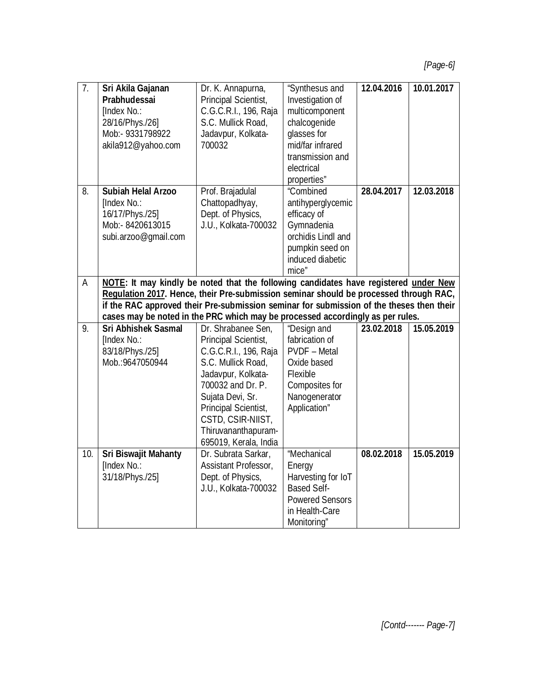| $\overline{7}$ . | Sri Akila Gajanan                                                                        | Dr. K. Annapurna,     | "Synthesus and                | 12.04.2016 | 10.01.2017 |
|------------------|------------------------------------------------------------------------------------------|-----------------------|-------------------------------|------------|------------|
|                  | Prabhudessai                                                                             | Principal Scientist,  | Investigation of              |            |            |
|                  | [Index No.:                                                                              | C.G.C.R.I., 196, Raja | multicomponent                |            |            |
|                  | 28/16/Phys./26]                                                                          | S.C. Mullick Road,    | chalcogenide                  |            |            |
|                  | Mob:- 9331798922                                                                         | Jadavpur, Kolkata-    | glasses for                   |            |            |
|                  | akila912@yahoo.com                                                                       | 700032                | mid/far infrared              |            |            |
|                  |                                                                                          |                       | transmission and              |            |            |
|                  |                                                                                          |                       | electrical                    |            |            |
|                  |                                                                                          |                       | properties"                   |            |            |
| 8.               | <b>Subiah Helal Arzoo</b>                                                                | Prof. Brajadulal      | "Combined                     | 28.04.2017 | 12.03.2018 |
|                  | [Index No.:                                                                              | Chattopadhyay,        | antihyperglycemic             |            |            |
|                  | 16/17/Phys./25]                                                                          | Dept. of Physics,     | efficacy of                   |            |            |
|                  | Mob:- 8420613015                                                                         | J.U., Kolkata-700032  | Gymnadenia                    |            |            |
|                  | subi.arzoo@gmail.com                                                                     |                       | orchidis Lindl and            |            |            |
|                  |                                                                                          |                       | pumpkin seed on               |            |            |
|                  |                                                                                          |                       | induced diabetic              |            |            |
|                  |                                                                                          |                       | mice"                         |            |            |
| A                | NOTE: It may kindly be noted that the following candidates have registered under New     |                       |                               |            |            |
|                  | Regulation 2017. Hence, their Pre-submission seminar should be processed through RAC,    |                       |                               |            |            |
|                  |                                                                                          |                       |                               |            |            |
|                  | if the RAC approved their Pre-submission seminar for submission of the theses then their |                       |                               |            |            |
|                  | cases may be noted in the PRC which may be processed accordingly as per rules.           |                       |                               |            |            |
| 9.               | <b>Sri Abhishek Sasmal</b>                                                               | Dr. Shrabanee Sen,    | "Design and                   | 23.02.2018 | 15.05.2019 |
|                  | [Index No.:                                                                              | Principal Scientist,  | fabrication of                |            |            |
|                  | 83/18/Phys./25]                                                                          | C.G.C.R.I., 196, Raja | <b>PVDF</b> - Metal           |            |            |
|                  | Mob.: 9647050944                                                                         | S.C. Mullick Road,    | Oxide based                   |            |            |
|                  |                                                                                          | Jadavpur, Kolkata-    | Flexible                      |            |            |
|                  |                                                                                          | 700032 and Dr. P.     | Composites for                |            |            |
|                  |                                                                                          | Sujata Devi, Sr.      | Nanogenerator                 |            |            |
|                  |                                                                                          | Principal Scientist,  | Application"                  |            |            |
|                  |                                                                                          | CSTD, CSIR-NIIST,     |                               |            |            |
|                  |                                                                                          | Thiruvananthapuram-   |                               |            |            |
|                  |                                                                                          | 695019, Kerala, India |                               |            |            |
| 10.              | <b>Sri Biswajit Mahanty</b>                                                              | Dr. Subrata Sarkar,   | "Mechanical                   | 08.02.2018 | 15.05.2019 |
|                  | [Index No.:                                                                              | Assistant Professor,  | Energy                        |            |            |
|                  | 31/18/Phys./25]                                                                          | Dept. of Physics,     | Harvesting for IoT            |            |            |
|                  |                                                                                          | J.U., Kolkata-700032  | <b>Based Self-</b>            |            |            |
|                  |                                                                                          |                       | <b>Powered Sensors</b>        |            |            |
|                  |                                                                                          |                       | in Health-Care<br>Monitoring" |            |            |